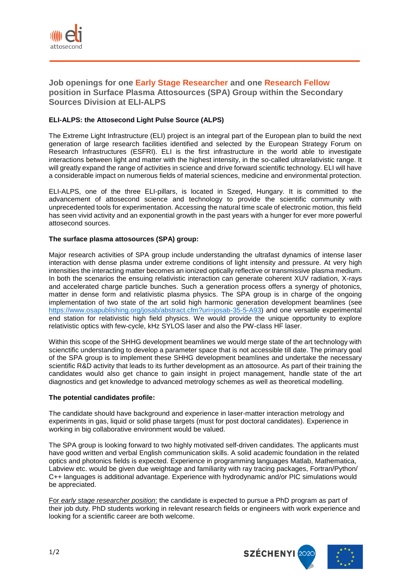

**Job openings for one Early Stage Researcher and one Research Fellow position in Surface Plasma Attosources (SPA) Group within the Secondary Sources Division at ELI-ALPS**

# **ELI-ALPS: the Attosecond Light Pulse Source (ALPS)**

The Extreme Light Infrastructure (ELI) project is an integral part of the European plan to build the next generation of large research facilities identified and selected by the European Strategy Forum on Research Infrastructures (ESFRI). ELI is the first infrastructure in the world able to investigate interactions between light and matter with the highest intensity, in the so-called ultrarelativistic range. It will greatly expand the range of activities in science and drive forward scientific technology. ELI will have a considerable impact on numerous fields of material sciences, medicine and environmental protection.

ELI-ALPS, one of the three ELI-pillars, is located in Szeged, Hungary. It is committed to the advancement of attosecond science and technology to provide the scientific community with unprecedented tools for experimentation. Accessing the natural time scale of electronic motion, this field has seen vivid activity and an exponential growth in the past years with a hunger for ever more powerful attosecond sources.

## **The surface plasma attosources (SPA) group:**

Major research activities of SPA group include understanding the ultrafast dynamics of intense laser interaction with dense plasma under extreme conditions of light intensity and pressure. At very high intensities the interacting matter becomes an ionized optically reflective or transmissive plasma medium. In both the scenarios the ensuing relativistic interaction can generate coherent XUV radiation, X-rays and accelerated charge particle bunches. Such a generation process offers a synergy of photonics, matter in dense form and relativistic plasma physics. The SPA group is in charge of the ongoing implementation of two state of the art solid high harmonic generation development beamlines (see [https://www.osapublishing.org/josab/abstract.cfm?uri=josab-35-5-A93\)](https://www.osapublishing.org/josab/abstract.cfm?uri=josab-35-5-A93) and one versatile experimental end station for relativistic high field physics. We would provide the unique opportunity to explore relativistic optics with few-cycle, kHz SYLOS laser and also the PW-class HF laser.

Within this scope of the SHHG development beamlines we would merge state of the art technology with scienctific understanding to develop a parameter space that is not accessible till date. The primary goal of the SPA group is to implement these SHHG development beamlines and undertake the necessary scientific R&D activity that leads to its further development as an attosource. As part of their training the candidates would also get chance to gain insight in project management, handle state of the art diagnostics and get knowledge to advanced metrology schemes as well as theoretical modelling.

#### **The potential candidates profile:**

The candidate should have background and experience in laser-matter interaction metrology and experiments in gas, liquid or solid phase targets (must for post doctoral candidates). Experience in working in big collaborative environment would be valued.

The SPA group is looking forward to two highly motivated self-driven candidates. The applicants must have good written and verbal English communication skills. A solid academic foundation in the related optics and photonics fields is expected. Experience in programming languages Matlab, Mathematica, Labview etc. would be given due weightage and familiarity with ray tracing packages, Fortran/Python/ C++ languages is additional advantage. Experience with hydrodynamic and/or PIC simulations would be appreciated.

For *early stage researcher position*: the candidate is expected to pursue a PhD program as part of their job duty. PhD students working in relevant research fields or engineers with work experience and looking for a scientific career are both welcome.